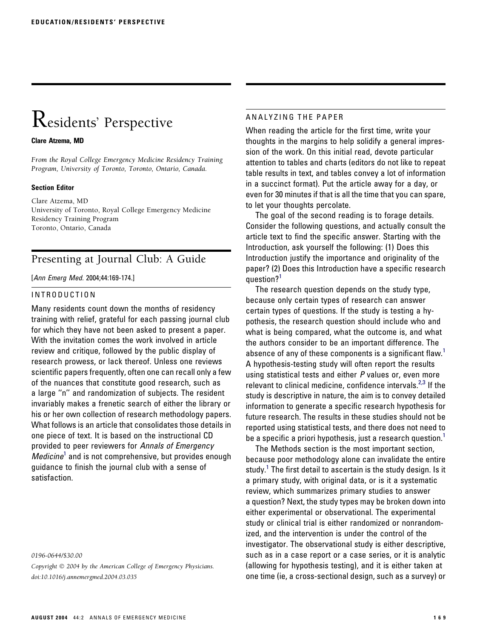# Residents' Perspective

#### Clare Atzema, MD

From the Royal College Emergency Medicine Residency Training Program, University of Toronto, Toronto, Ontario, Canada.

#### Section Editor

Clare Atzema, MD University of Toronto, Royal College Emergency Medicine Residency Training Program Toronto, Ontario, Canada

## Presenting at Journal Club: A Guide

[Ann Emerg Med. 2004;44:169-174.]

### INTRODUCTION

Many residents count down the months of residency training with relief, grateful for each passing journal club for which they have not been asked to present a paper. With the invitation comes the work involved in article review and critique, followed by the public display of research prowess, or lack thereof. Unless one reviews scientific papers frequently, often one can recall only a few of the nuances that constitute good research, such as a large ''n'' and randomization of subjects. The resident invariably makes a frenetic search of either the library or his or her own collection of research methodology papers. What follows is an article that consolidates those details in one piece of text. It is based on the instructional CD provided to peer reviewers for Annals of Emergency *Medicine*<sup>[1](#page-4-0)</sup> and is not comprehensive, but provides enough guidance to finish the journal club with a sense of satisfaction.

0196-0644/\$30.00

Copyright  $©$  2004 by the American College of Emergency Physicians. doi:10.1016/j.annemergmed.2004.03.035

#### ANALYZING THE PAPER

When reading the article for the first time, write your thoughts in the margins to help solidify a general impression of the work. On this initial read, devote particular attention to tables and charts (editors do not like to repeat table results in text, and tables convey a lot of information in a succinct format). Put the article away for a day, or even for 30 minutes if that is all the time that you can spare, to let your thoughts percolate.

The goal of the second reading is to forage details. Consider the following questions, and actually consult the article text to find the specific answer. Starting with the Introduction, ask yourself the following: (1) Does this Introduction justify the importance and originality of the paper? (2) Does this Introduction have a specific research question?<sup>1</sup>

The research question depends on the study type, because only certain types of research can answer certain types of questions. If the study is testing a hypothesis, the research question should include who and what is being compared, what the outcome is, and what the authors consider to be an important difference. The absence of any of these components is a significant flaw.<sup>1</sup> A hypothesis-testing study will often report the results using statistical tests and either P values or, even more relevant to clinical medicine, confidence intervals. $2,3$  If the study is descriptive in nature, the aim is to convey detailed information to generate a specific research hypothesis for future research. The results in these studies should not be reported using statistical tests, and there does not need to be a specific a priori hypothesis, just a research question.<sup>1</sup>

The Methods section is the most important section, because poor methodology alone can invalidate the entire study.<sup>1</sup> The first detail to ascertain is the study design. Is it a primary study, with original data, or is it a systematic review, which summarizes primary studies to answer a question? Next, the study types may be broken down into either experimental or observational. The experimental study or clinical trial is either randomized or nonrandomized, and the intervention is under the control of the investigator. The observational study is either descriptive, such as in a case report or a case series, or it is analytic (allowing for hypothesis testing), and it is either taken at one time (ie, a cross-sectional design, such as a survey) or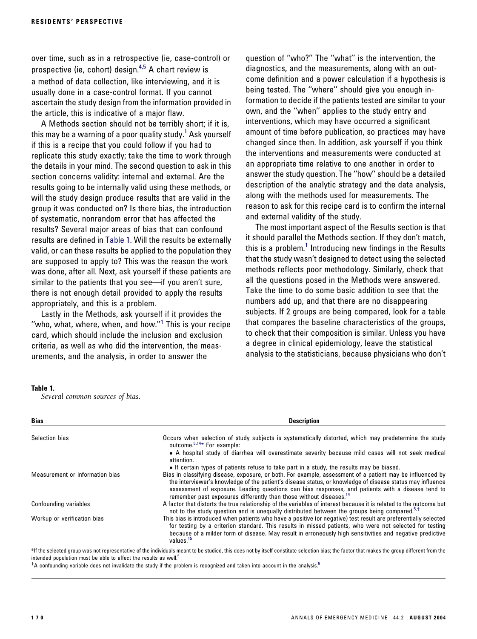over time, such as in a retrospective (ie, case-control) or prospective (ie, cohort) design. $4,5$  A chart review is a method of data collection, like interviewing, and it is usually done in a case-control format. If you cannot ascertain the study design from the information provided in the article, this is indicative of a major flaw.

A Methods section should not be terribly short; if it is, this may be a warning of a poor quality study.<sup>1</sup> Ask yourself if this is a recipe that you could follow if you had to replicate this study exactly; take the time to work through the details in your mind. The second question to ask in this section concerns validity: internal and external. Are the results going to be internally valid using these methods, or will the study design produce results that are valid in the group it was conducted on? Is there bias, the introduction of systematic, nonrandom error that has affected the results? Several major areas of bias that can confound results are defined in Table 1. Will the results be externally valid, or can these results be applied to the population they are supposed to apply to? This was the reason the work was done, after all. Next, ask yourself if these patients are similar to the patients that you see—if you aren't sure, there is not enough detail provided to apply the results appropriately, and this is a problem.

Lastly in the Methods, ask yourself if it provides the "who, what, where, when, and how."<sup>[1](#page-4-0)</sup> This is your recipe card, which should include the inclusion and exclusion criteria, as well as who did the intervention, the measurements, and the analysis, in order to answer the

question of ''who?'' The ''what'' is the intervention, the diagnostics, and the measurements, along with an outcome definition and a power calculation if a hypothesis is being tested. The ''where'' should give you enough information to decide if the patients tested are similar to your own, and the ''when'' applies to the study entry and interventions, which may have occurred a significant amount of time before publication, so practices may have changed since then. In addition, ask yourself if you think the interventions and measurements were conducted at an appropriate time relative to one another in order to answer the study question. The ''how'' should be a detailed description of the analytic strategy and the data analysis, along with the methods used for measurements. The reason to ask for this recipe card is to confirm the internal and external validity of the study.

The most important aspect of the Results section is that it should parallel the Methods section. If they don't match, this is a problem.<sup>[1](#page-4-0)</sup> Introducing new findings in the Results that the study wasn't designed to detect using the selected methods reflects poor methodology. Similarly, check that all the questions posed in the Methods were answered. Take the time to do some basic addition to see that the numbers add up, and that there are no disappearing subjects. If 2 groups are being compared, look for a table that compares the baseline characteristics of the groups, to check that their composition is similar. Unless you have a degree in clinical epidemiology, leave the statistical analysis to the statisticians, because physicians who don't

| Table 1.<br>Several common sources of bias. |                                                                                                                                                                                                                                                                                                                                                                                                               |  |  |  |
|---------------------------------------------|---------------------------------------------------------------------------------------------------------------------------------------------------------------------------------------------------------------------------------------------------------------------------------------------------------------------------------------------------------------------------------------------------------------|--|--|--|
| <b>Bias</b>                                 | <b>Description</b>                                                                                                                                                                                                                                                                                                                                                                                            |  |  |  |
| Selection bias                              | Occurs when selection of study subjects is systematically distorted, which may predetermine the study<br>outcome. $5,14*$ For example:                                                                                                                                                                                                                                                                        |  |  |  |
|                                             | • A hospital study of diarrhea will overestimate severity because mild cases will not seek medical<br>attention.<br>• If certain types of patients refuse to take part in a study, the results may be biased.                                                                                                                                                                                                 |  |  |  |
| Measurement or information bias             | Bias in classifying disease, exposure, or both. For example, assessment of a patient may be influenced by<br>the interviewer's knowledge of the patient's disease status, or knowledge of disease status may influence<br>assessment of exposure. Leading questions can bias responses, and patients with a disease tend to<br>remember past exposures differently than those without diseases. <sup>14</sup> |  |  |  |
| Confounding variables                       | A factor that distorts the true relationship of the variables of interest because it is related to the outcome but<br>not to the study question and is unequally distributed between the groups being compared. <sup>5,†</sup>                                                                                                                                                                                |  |  |  |
| Workup or verification bias                 | This bias is introduced when patients who have a positive (or negative) test result are preferentially selected<br>for testing by a criterion standard. This results in missed patients, who were not selected for testing<br>because of a milder form of disease. May result in erroneously high sensitivities and negative predictive<br>values. <sup>15</sup>                                              |  |  |  |

*\**If the selected group was not representative of the individuals meant to be studied, this does not by itself constitute selection bias; the factor that makes the group different from the intended population must be able to affect the results as well.<sup>[5](#page-4-0)</sup>

 $^{\dagger}$ A confounding variable does not invalidate the study if the problem is recognized and taken into account in the analysis.<sup>[5](#page-4-0)</sup>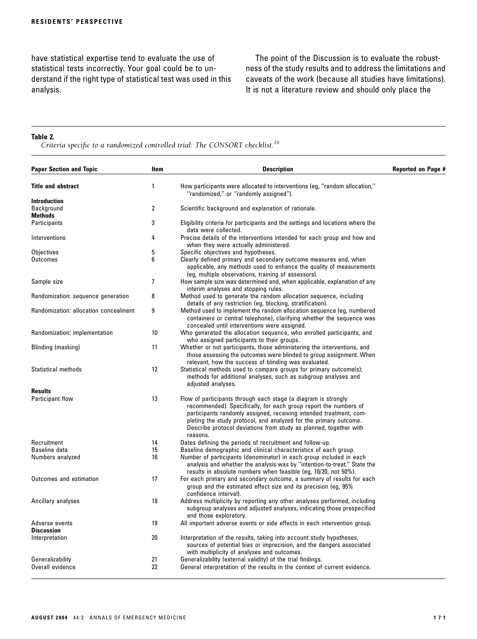<span id="page-2-0"></span>have statistical expertise tend to evaluate the use of statistical tests incorrectly. Your goal could be to understand if the right type of statistical test was used in this analysis.

The point of the Discussion is to evaluate the robustness of the study results and to address the limitations and caveats of the work (because all studies have limitations). It is not a literature review and should only place the

#### Table 2.

Criteria specific to a randomized controlled trial: The CONSORT checklist.<sup>[16](#page-4-0)</sup>

| <b>Paper Section and Topic</b>        | Item             | <b>Description</b>                                                                                                                                                                                                                                                                                                                                             | <b>Reported on Page #</b> |
|---------------------------------------|------------------|----------------------------------------------------------------------------------------------------------------------------------------------------------------------------------------------------------------------------------------------------------------------------------------------------------------------------------------------------------------|---------------------------|
| <b>Title and abstract</b>             | 1                | How participants were allocated to interventions (eq. "random allocation,"<br>"randomized," or "randomly assigned").                                                                                                                                                                                                                                           |                           |
| <b>Introduction</b>                   |                  |                                                                                                                                                                                                                                                                                                                                                                |                           |
| Background<br><b>Methods</b>          | $\overline{2}$   | Scientific background and explanation of rationale.                                                                                                                                                                                                                                                                                                            |                           |
| Participants                          | 3                | Eligibility criteria for participants and the settings and locations where the<br>data were collected.                                                                                                                                                                                                                                                         |                           |
| Interventions                         | 4                | Precise details of the interventions intended for each group and how and<br>when they were actually administered.                                                                                                                                                                                                                                              |                           |
| <b>Objectives</b>                     | 5                | Specific objectives and hypotheses.                                                                                                                                                                                                                                                                                                                            |                           |
| <b>Outcomes</b>                       | 6                | Clearly defined primary and secondary outcome measures and, when<br>applicable, any methods used to enhance the quality of measurements<br>(eq. multiple observations, training of assessors).                                                                                                                                                                 |                           |
| Sample size                           | 7                | How sample size was determined and, when applicable, explanation of any<br>interim analyses and stopping rules.                                                                                                                                                                                                                                                |                           |
| Randomization: sequence generation    | 8                | Method used to generate the random allocation sequence, including<br>details of any restriction (eg, blocking, stratification).                                                                                                                                                                                                                                |                           |
| Randomization: allocation concealment | 9                | Method used to implement the random allocation sequence (eg, numbered<br>containers or central telephone), clarifying whether the sequence was<br>concealed until interventions were assigned.                                                                                                                                                                 |                           |
| Randomization: implementation         | 10 <sup>10</sup> | Who generated the allocation seguence, who enrolled participants, and<br>who assigned participants to their groups.                                                                                                                                                                                                                                            |                           |
| Blinding (masking)                    | 11               | Whether or not participants, those administering the interventions, and<br>those assessing the outcomes were blinded to group assignment. When<br>relevant, how the success of blinding was evaluated.                                                                                                                                                         |                           |
| Statistical methods                   | 12               | Statistical methods used to compare groups for primary outcome(s);<br>methods for additional analyses, such as subgroup analyses and<br>adjusted analyses.                                                                                                                                                                                                     |                           |
| <b>Results</b>                        |                  |                                                                                                                                                                                                                                                                                                                                                                |                           |
| Participant flow                      | 13               | Flow of participants through each stage (a diagram is strongly<br>recommended). Specifically, for each group report the numbers of<br>participants randomly assigned, receiving intended treatment, com-<br>pleting the study protocol, and analyzed for the primary outcome.<br>Describe protocol deviations from study as planned, together with<br>reasons. |                           |
| Recruitment                           | 14               | Dates defining the periods of recruitment and follow-up.                                                                                                                                                                                                                                                                                                       |                           |
| Baseline data                         | 15               | Baseline demographic and clinical characteristics of each group.                                                                                                                                                                                                                                                                                               |                           |
| Numbers analyzed                      | 16               | Number of participants (denominator) in each group included in each<br>analysis and whether the analysis was by "intention-to-treat." State the<br>results in absolute numbers when feasible (eg, 10/20, not 50%).                                                                                                                                             |                           |
| Outcomes and estimation               | 17               | For each primary and secondary outcome, a summary of results for each<br>group and the estimated effect size and its precision (eq. 95%)<br>confidence interval).                                                                                                                                                                                              |                           |
| Ancillary analyses                    | 18               | Address multiplicity by reporting any other analyses performed, including<br>subgroup analyses and adjusted analyses, indicating those prespecified<br>and those exploratory.                                                                                                                                                                                  |                           |
| Adverse events<br><b>Discussion</b>   | 19               | All important adverse events or side effects in each intervention group.                                                                                                                                                                                                                                                                                       |                           |
| Interpretation                        | 20               | Interpretation of the results, taking into account study hypotheses,<br>sources of potential bias or imprecision, and the dangers associated<br>with multiplicity of analyses and outcomes.                                                                                                                                                                    |                           |
| Generalizability                      | 21               | Generalizability (external validity) of the trial findings.                                                                                                                                                                                                                                                                                                    |                           |
| Overall evidence                      | 22               | General interpretation of the results in the context of current evidence.                                                                                                                                                                                                                                                                                      |                           |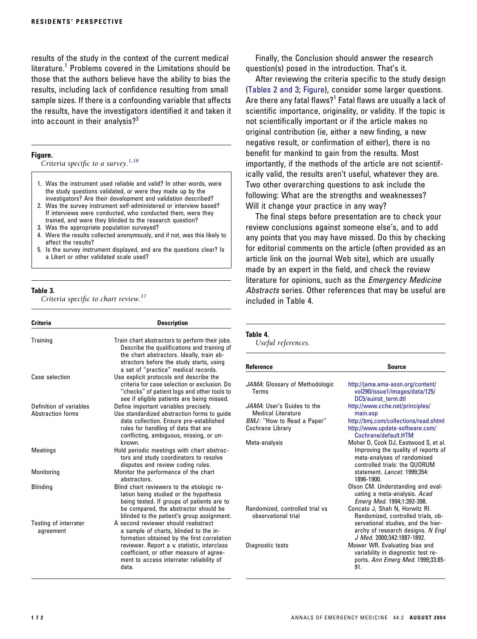results of the study in the context of the current medical literature.<sup>1</sup> Problems covered in the Limitations should be those that the authors believe have the ability to bias the results, including lack of confidence resulting from small sample sizes. If there is a confounding variable that affects the results, have the investigators identified it and taken it into account in their analysis? $3^3$  $3^3$ 

#### Figure.

Criteria specific to a survey.<sup>[1,18](#page-4-0)</sup>

- 1. Was the instrument used reliable and valid? In other words, were the study questions validated, or were they made up by the investigators? Are their development and validation described?
- 2. Was the survey instrument self-administered or interview based? If interviews were conducted, who conducted them, were they trained, and were they blinded to the research question?
- 3. Was the appropriate population surveyed?
- 4. Were the results collected anonymously, and if not, was this likely to affect the results?
- 5. Is the survey instrument displayed, and are the questions clear? Is a Likert or other validated scale used?

#### Table 3.

Criteria specific to chart review.<sup>[17](#page-4-0)</sup>

| <b>Criteria</b>                              | <b>Description</b>                                                                                                                                                                                                                                                                |
|----------------------------------------------|-----------------------------------------------------------------------------------------------------------------------------------------------------------------------------------------------------------------------------------------------------------------------------------|
| Training                                     | Train chart abstractors to perform their jobs.<br>Describe the qualifications and training of<br>the chart abstractors. Ideally, train ab-<br>stractors before the study starts, using<br>a set of "practice" medical records.                                                    |
| Case selection                               | Use explicit protocols and describe the<br>criteria for case selection or exclusion. Do<br>"checks" of patient logs and other tools to<br>see if eligible patients are being missed.                                                                                              |
| Definition of variables<br>Abstraction forms | Define important variables precisely.<br>Use standardized abstraction forms to quide<br>data collection. Ensure pre-established<br>rules for handling of data that are<br>conflicting, ambiguous, missing, or un-<br>known.                                                       |
| Meetings                                     | Hold periodic meetings with chart abstrac-<br>tors and study coordinators to resolve<br>disputes and review coding rules.                                                                                                                                                         |
| Monitoring                                   | Monitor the performance of the chart<br>abstractors.                                                                                                                                                                                                                              |
| <b>Blinding</b>                              | Blind chart reviewers to the etiologic re-<br>lation being studied or the hypothesis<br>being tested. If groups of patients are to<br>be compared, the abstractor should be<br>blinded to the patient's group assignment.                                                         |
| Testing of interrater<br>agreement           | A second reviewer should reabstract<br>a sample of charts, blinded to the in-<br>formation obtained by the first correlation<br>reviewer. Report a $\kappa$ statistic, interclass<br>coefficient, or other measure of agree-<br>ment to access interrater reliability of<br>data. |

Finally, the Conclusion should answer the research question(s) posed in the introduction. That's it.

After reviewing the criteria specific to the study design [\(Tables 2 and 3;](#page-2-0) Figure), consider some larger questions. Are there any fatal flaws?<sup>[1](#page-4-0)</sup> Fatal flaws are usually a lack of scientific importance, originality, or validity. If the topic is not scientifically important or if the article makes no original contribution (ie, either a new finding, a new negative result, or confirmation of either), there is no benefit for mankind to gain from the results. Most importantly, if the methods of the article are not scientifically valid, the results aren't useful, whatever they are. Two other overarching questions to ask include the following: What are the strengths and weaknesses? Will it change your practice in any way?

The final steps before presentation are to check your review conclusions against someone else's, and to add any points that you may have missed. Do this by checking for editorial comments on the article (often provided as an article link on the journal Web site), which are usually made by an expert in the field, and check the review literature for opinions, such as the *Emergency Medicine* Abstracts series. Other references that may be useful are included in Table 4.

| Table 4.<br>Useful references.                                                 |                                                                                                                                                                                           |  |  |  |
|--------------------------------------------------------------------------------|-------------------------------------------------------------------------------------------------------------------------------------------------------------------------------------------|--|--|--|
| <b>Reference</b>                                                               | Source                                                                                                                                                                                    |  |  |  |
| JAMA: Glossary of Methodologic<br>Terms                                        | http://jama.ama-assn.org/content/<br>vol290/issue1/images/data/125/<br>DC5/auinst term.dtl                                                                                                |  |  |  |
| JAMA: User's Guides to the<br>Medical Literature<br>BMJ: "How to Read a Paper" | http://www.cche.net/principles/<br>main.asp<br>http://bmj.com/collections/read.shtml                                                                                                      |  |  |  |
| Cochrane Library                                                               | http://www.update-software.com/<br>Cochrane/default.HTM                                                                                                                                   |  |  |  |
| Meta-analysis                                                                  | Moher D, Cook DJ, Eastwood S, et al.<br>Improving the quality of reports of<br>meta-analyses of randomised<br>controlled trials: the QUORUM<br>statement. Lancet. 1999;354:<br>1896-1900. |  |  |  |
|                                                                                | Olson CM. Understanding and eval-<br>uating a meta-analysis. Acad<br>Emera Med. 1994:1:392-398.                                                                                           |  |  |  |
| Randomized, controlled trial vs<br>observational trial                         | Concato J, Shah N, Horwitz RI.<br>Randomized, controlled trials, ob-<br>servational studies, and the hier-<br>archy of research designs. N Engl<br>J Med. 2000;342:1887-1892.             |  |  |  |
| Diagnostic tests                                                               | Mower WR. Evaluating bias and<br>variability in diagnostic test re-<br>ports. Ann Emerg Med. 1999;33:85-<br>91.                                                                           |  |  |  |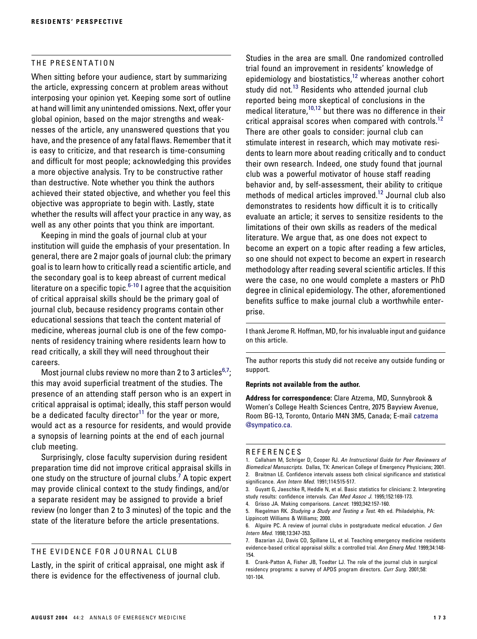#### <span id="page-4-0"></span>THE PRESENTATION

When sitting before your audience, start by summarizing the article, expressing concern at problem areas without interposing your opinion yet. Keeping some sort of outline at hand will limit any unintended omissions. Next, offer your global opinion, based on the major strengths and weaknesses of the article, any unanswered questions that you have, and the presence of any fatal flaws. Remember that it is easy to criticize, and that research is time-consuming and difficult for most people; acknowledging this provides a more objective analysis. Try to be constructive rather than destructive. Note whether you think the authors achieved their stated objective, and whether you feel this objective was appropriate to begin with. Lastly, state whether the results will affect your practice in any way, as well as any other points that you think are important.

Keeping in mind the goals of journal club at your institution will guide the emphasis of your presentation. In general, there are 2 major goals of journal club: the primary goal is to learn how to critically read a scientific article, and the secondary goal is to keep abreast of current medical literature on a specific topic. $6-10$  I agree that the acquisition of critical appraisal skills should be the primary goal of journal club, because residency programs contain other educational sessions that teach the content material of medicine, whereas journal club is one of the few components of residency training where residents learn how to read critically, a skill they will need throughout their careers.

Most journal clubs review no more than 2 to 3 articles<sup>6,7</sup>; this may avoid superficial treatment of the studies. The presence of an attending staff person who is an expert in critical appraisal is optimal; ideally, this staff person would be a dedicated faculty director<sup>11</sup> for the year or more, would act as a resource for residents, and would provide a synopsis of learning points at the end of each journal club meeting.

Surprisingly, close faculty supervision during resident preparation time did not improve critical appraisal skills in one study on the structure of journal clubs.<sup>7</sup> A topic expert may provide clinical context to the study findings, and/or a separate resident may be assigned to provide a brief review (no longer than 2 to 3 minutes) of the topic and the state of the literature before the article presentations.

#### THE EVIDENCE FOR JOURNAL CLUB

Lastly, in the spirit of critical appraisal, one might ask if there is evidence for the effectiveness of journal club.

Studies in the area are small. One randomized controlled trial found an improvement in residents' knowledge of epidemiology and biostatistics,<sup>[12](#page-5-0)</sup> whereas another cohort study did not.<sup>[13](#page-5-0)</sup> Residents who attended journal club reported being more skeptical of conclusions in the medical literature,  $10,12$  but there was no difference in their critical appraisal scores when compared with controls.<sup>[12](#page-5-0)</sup> There are other goals to consider: journal club can stimulate interest in research, which may motivate residents to learn more about reading critically and to conduct their own research. Indeed, one study found that journal club was a powerful motivator of house staff reading behavior and, by self-assessment, their ability to critique methods of medical articles improved.<sup>[12](#page-5-0)</sup> Journal club also demonstrates to residents how difficult it is to critically evaluate an article; it serves to sensitize residents to the limitations of their own skills as readers of the medical literature. We argue that, as one does not expect to become an expert on a topic after reading a few articles, so one should not expect to become an expert in research methodology after reading several scientific articles. If this were the case, no one would complete a masters or PhD degree in clinical epidemiology. The other, aforementioned benefits suffice to make journal club a worthwhile enterprise.

I thank Jerome R. Hoffman, MD, for his invaluable input and guidance on this article.

The author reports this study did not receive any outside funding or support.

#### Reprints not available from the author.

Address for correspondence: Clare Atzema, MD, Sunnybrook & Women's College Health Sciences Centre, 2075 Bayview Avenue, Room BG-13, Toronto, Ontario M4N 3M5, Canada; E-mail [catzema](mailto:catzema@sympatico.ca) [@sympatico.ca.](mailto:catzema@sympatico.ca)

#### REFERENCES

<sup>1.</sup> Callaham M, Schriger D, Cooper RJ. An Instructional Guide for Peer Reviewers of Biomedical Manuscripts. Dallas, TX: American College of Emergency Physicians; 2001. 2. Braitman LE. Confidence intervals assess both clinical significance and statistical significance. Ann Intern Med. 1991;114:515-517.

<sup>3.</sup> Guyatt G, Jaeschke R, Heddle N, et al. Basic statistics for clinicians: 2. Interpreting study results: confidence intervals. Can Med Assoc J. 1995;152:169-173.

<sup>4.</sup> Grisso JA. Making comparisons. Lancet. 1993;342:157-160.

Riegelman RK. Studying a Study and Testing a Test. 4th ed. Philadelphia, PA: Lippincott Williams & Williams; 2000.

<sup>6.</sup> Alguire PC. A review of journal clubs in postgraduate medical education. J Gen Intern Med. 1998;13:347-353.

<sup>7.</sup> Bazarian JJ, Davis CO, Spillane LL, et al. Teaching emergency medicine residents evidence-based critical appraisal skills: a controlled trial. Ann Emerg Med. 1999;34:148- 154.

<sup>8.</sup> Crank-Patton A, Fisher JB, Toedter LJ. The role of the journal club in surgical residency programs: a survey of APDS program directors. Curr Surg. 2001;58: 101-104.